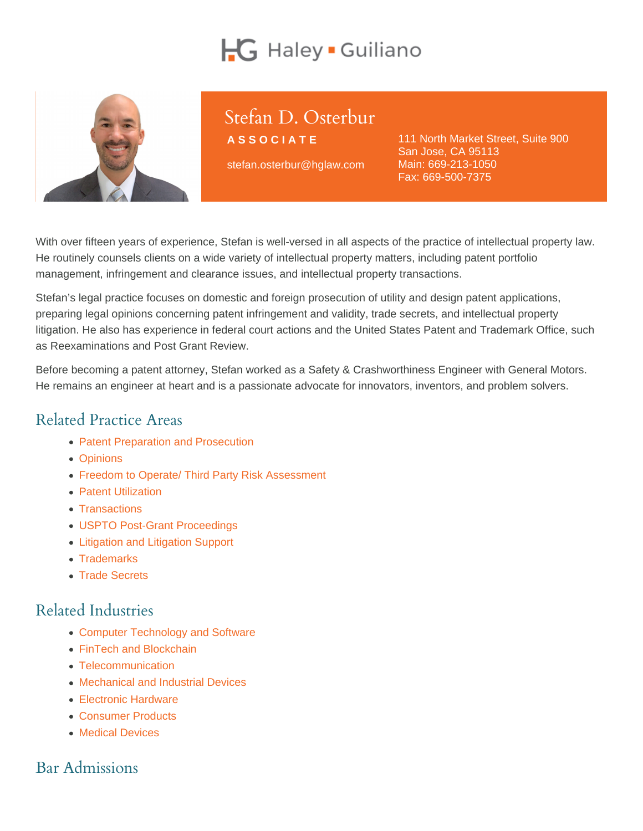# Stefan D. Osterbur

ASSOCIATE

stefan.osterbur@hglaw.com

111 North Market Street, Suite 900 San Jose, CA 95113 Main: [669-213-1050](tel:+1-669-213-1050) Fax: 669-500-7375

With over fifteen years of experience, Stefan is well-versed in all aspects of the practice of intellectual property law. He routinely counsels clients on a wide variety of intellectual property matters, including patent portfolio management, infringement and clearance issues, and intellectual property transactions.

Stefan's legal practice focuses on domestic and foreign prosecution of utility and design patent applications, preparing legal opinions concerning patent infringement and validity, trade secrets, and intellectual property litigation. He also has experience in federal court actions and the United States Patent and Trademark Office, such as Reexaminations and Post Grant Review.

Before becoming a patent attorney, Stefan worked as a Safety & Crashworthiness Engineer with General Motors. He remains an engineer at heart and is a passionate advocate for innovators, inventors, and problem solvers.

#### Related Practice Areas

- [Patent Preparation and Prosecution](https://www.hglaw.com/practice-areas/patents/patent-preparation-prosecution/)
- [Opinions](https://www.hglaw.com/practice-areas/strategic-counseling/opinions/)
- [Freedom to Operate/ Third Party Risk Assessment](https://www.hglaw.com/practice-areas/strategic-counseling/freedom-to-operate-third-party-risk-assessment/)
- [Patent Utilization](https://www.hglaw.com/practice-areas/strategic-counseling/patent-utilization/)
- [Transactions](https://www.hglaw.com/practice-areas/strategic-counseling/transactions/)
- [USPTO Post-Grant Proceedings](https://www.hglaw.com/practice-areas/contested-proceedings/uspto-post-grant-proceedings/)
- [Litigation and Litigation Support](https://www.hglaw.com/practice-areas/contested-proceedings/litigation-support/)
- [Trademarks](https://www.hglaw.com/practice-areas/trademarks/)
- [Trade Secrets](https://www.hglaw.com/practice-areas/trade-secrets/)

#### Related Industries

- [Computer Technology and Software](https://www.hglaw.com/industries/computer-technology-software/)
- [FinTech and Blockchain](https://www.hglaw.com/industries/fintech-blockchain/)
- [Telecommunication](https://www.hglaw.com/industries/telecommunications/)
- [Mechanical and Industrial Devices](https://www.hglaw.com/industries/mechanical-industrial-devices/)
- [Electronic Hardware](https://www.hglaw.com/industries/electronic-hardware/)
- [Consumer Products](https://www.hglaw.com/industries/consumer-products/)
- [Medical Devices](https://www.hglaw.com/industries/medical-devices/)

## Bar Admissions